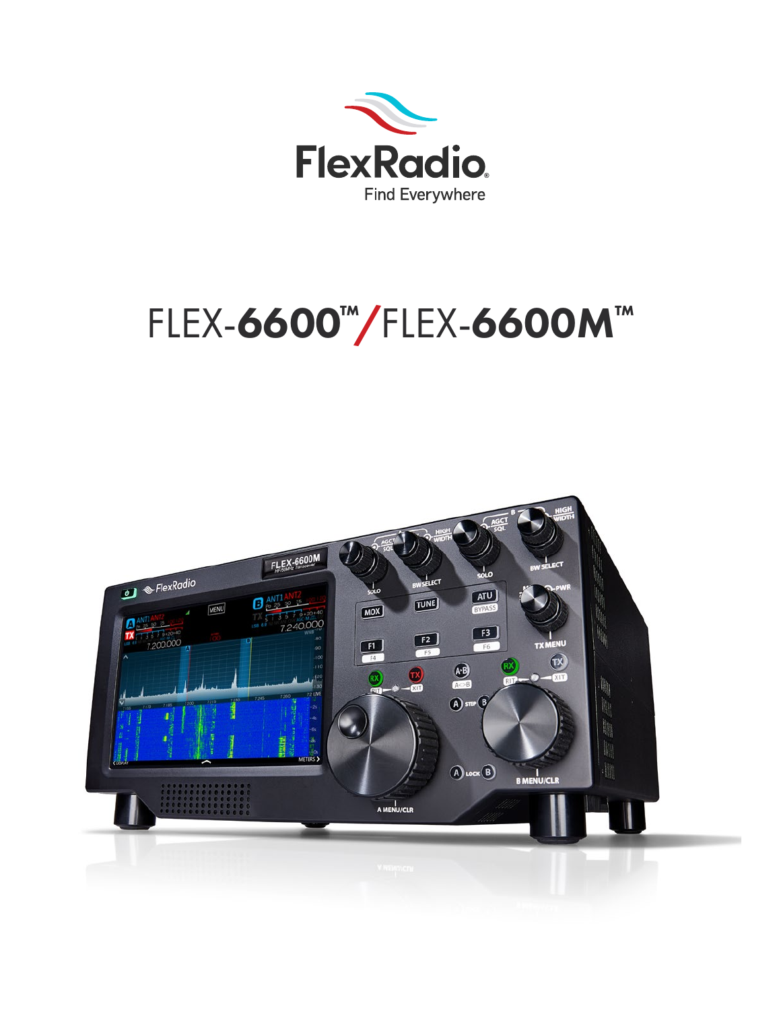

# FLEX-6600™/FLEX-6600M™

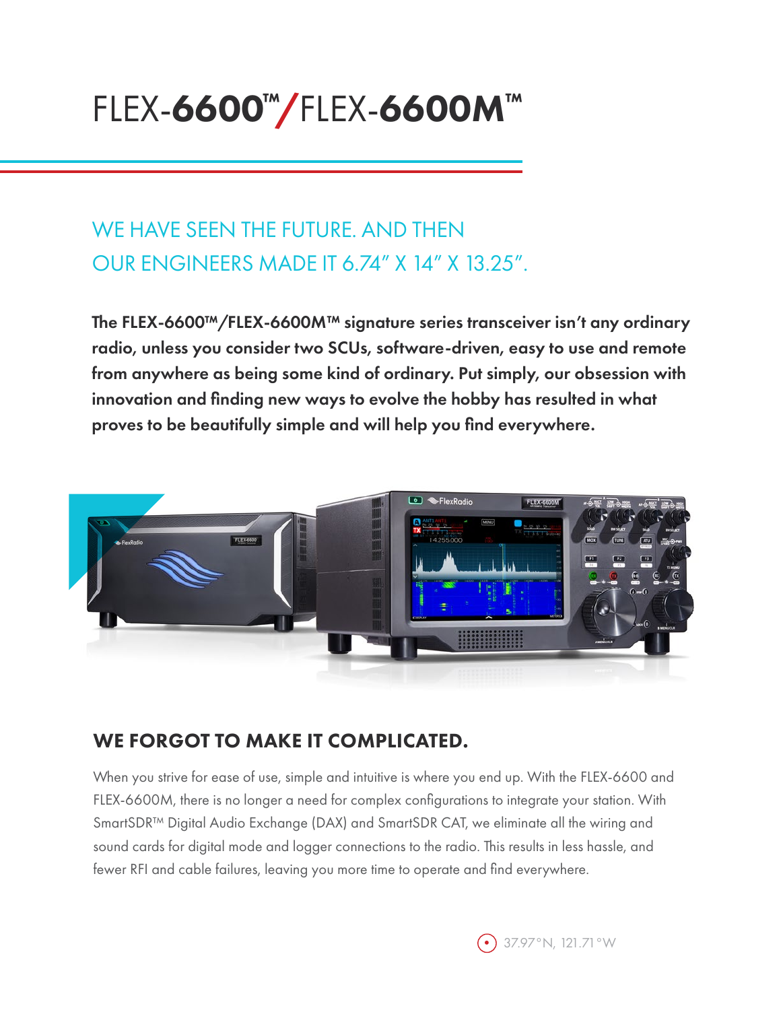## FLEX-6600™/FLEX-6600M™

## WE HAVE SEEN THE FUTURE. AND THEN OUR ENGINEERS MADE IT 6.74" X 14" X 13.25".

The FLEX-6600™/FLEX-6600M™ signature series transceiver isn't any ordinary radio, unless you consider two SCUs, software-driven, easy to use and remote from anywhere as being some kind of ordinary. Put simply, our obsession with innovation and finding new ways to evolve the hobby has resulted in what proves to be beautifully simple and will help you find everywhere.



#### WE FORGOT TO MAKE IT COMPLICATED.

When you strive for ease of use, simple and intuitive is where you end up. With the FLEX-6600 and FLEX-6600M, there is no longer a need for complex configurations to integrate your station. With SmartSDR™ Digital Audio Exchange (DAX) and SmartSDR CAT, we eliminate all the wiring and sound cards for digital mode and logger connections to the radio. This results in less hassle, and fewer RFI and cable failures, leaving you more time to operate and find everywhere.

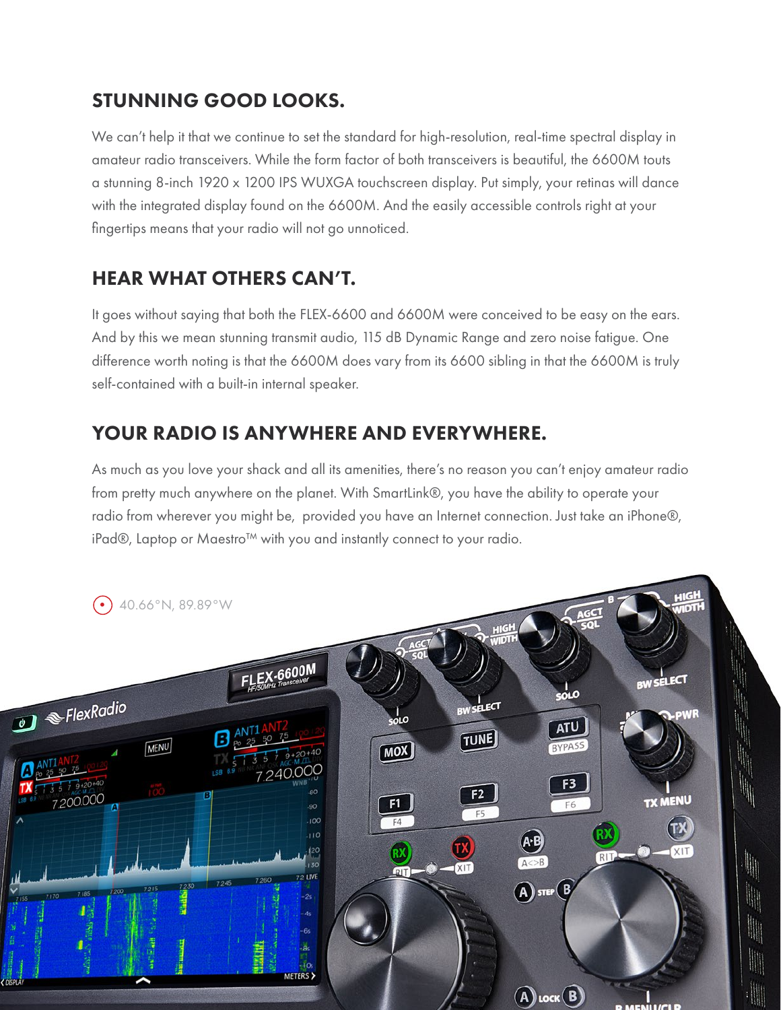#### STUNNING GOOD LOOKS.

We can't help it that we continue to set the standard for high-resolution, real-time spectral display in amateur radio transceivers. While the form factor of both transceivers is beautiful, the 6600M touts a stunning 8-inch 1920 x 1200 IPS WUXGA touchscreen display. Put simply, your retinas will dance with the integrated display found on the 6600M. And the easily accessible controls right at your fingertips means that your radio will not go unnoticed.

#### HEAR WHAT OTHERS CAN'T.

It goes without saying that both the FLEX-6600 and 6600M were conceived to be easy on the ears. And by this we mean stunning transmit audio, 115 dB Dynamic Range and zero noise fatigue. One difference worth noting is that the 6600M does vary from its 6600 sibling in that the 6600M is truly self-contained with a built-in internal speaker.

#### YOUR RADIO IS ANYWHERE AND EVERYWHERE.

As much as you love your shack and all its amenities, there's no reason you can't enjoy amateur radio from pretty much anywhere on the planet. With SmartLink®, you have the ability to operate your radio from wherever you might be, provided you have an Internet connection. Just take an iPhone®, iPad®, Laptop or Maestro™ with you and instantly connect to your radio.

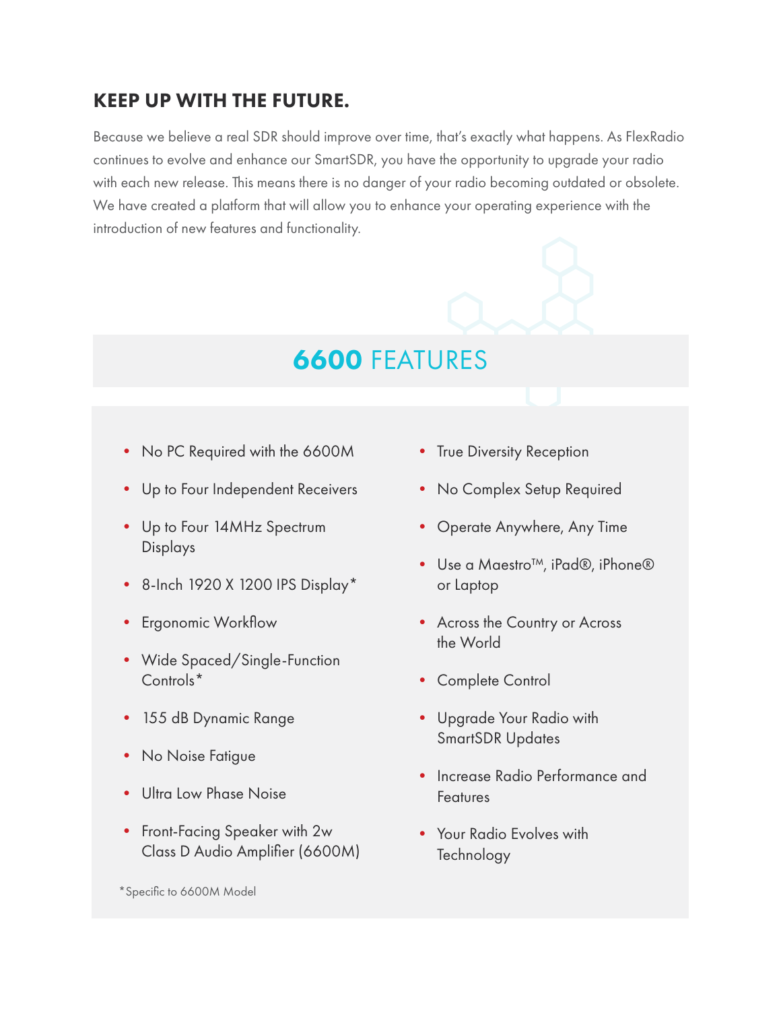#### KEEP UP WITH THE FUTURE.

Because we believe a real SDR should improve over time, that's exactly what happens. As FlexRadio continues to evolve and enhance our SmartSDR, you have the opportunity to upgrade your radio with each new release. This means there is no danger of your radio becoming outdated or obsolete. We have created a platform that will allow you to enhance your operating experience with the introduction of new features and functionality.

## 6600 FEATURES

- No PC Required with the 6600M
- Up to Four Independent Receivers
- Up to Four 14MHz Spectrum Displays
- 8-Inch 1920 X 1200 IPS Display\*
- Ergonomic Workflow
- Wide Spaced/Single-Function Controls\*
- 155 dB Dynamic Range
- No Noise Fatigue
- Ultra Low Phase Noise
- Front-Facing Speaker with 2w Class D Audio Amplifier (6600M)

\*Specific to 6600M Model

- True Diversity Reception
- No Complex Setup Required
- Operate Anywhere, Any Time
- Use a Maestro™, iPad®, iPhone® or Laptop
- Across the Country or Across the World
- Complete Control
- Upgrade Your Radio with SmartSDR Updates
- Increase Radio Performance and Features
- Your Radio Evolves with **Technology**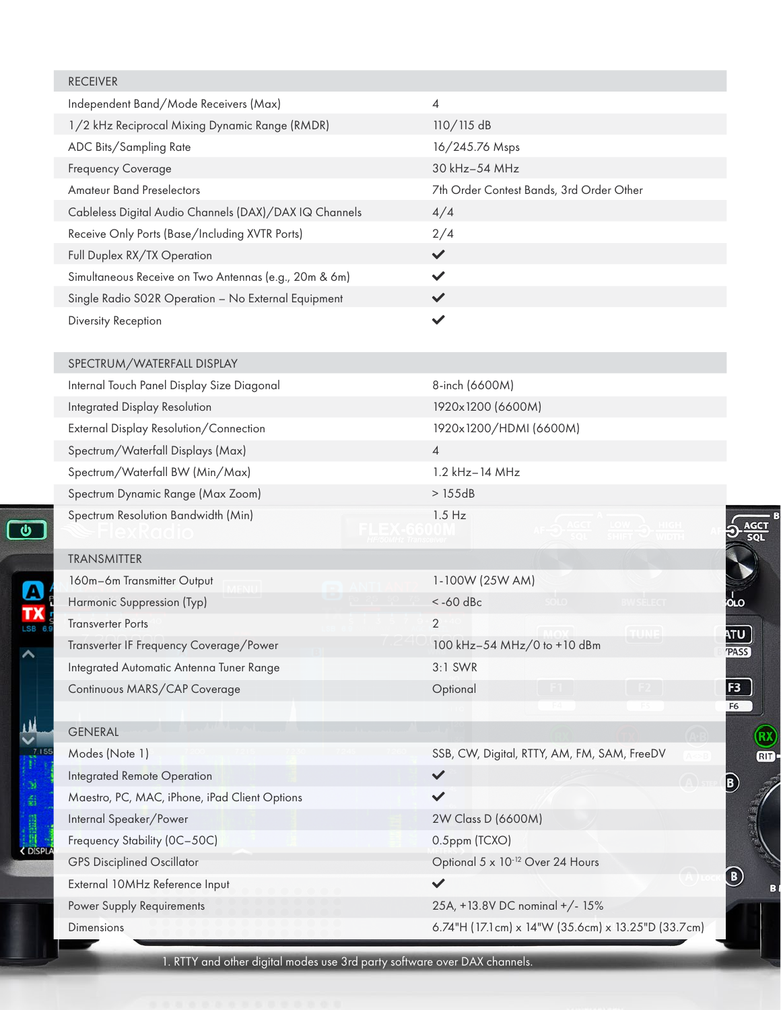| <b>RECEIVER</b>                                        |                                                       |
|--------------------------------------------------------|-------------------------------------------------------|
| Independent Band/Mode Receivers (Max)                  | 4                                                     |
| 1/2 kHz Reciprocal Mixing Dynamic Range (RMDR)         | $110/115$ dB                                          |
| ADC Bits/Sampling Rate                                 | 16/245.76 Msps                                        |
| Frequency Coverage                                     | 30 kHz-54 MHz                                         |
| <b>Amateur Band Preselectors</b>                       | 7th Order Contest Bands, 3rd Order Other              |
| Cableless Digital Audio Channels (DAX)/DAX IQ Channels | 4/4                                                   |
| Receive Only Ports (Base/Including XVTR Ports)         | 2/4                                                   |
| Full Duplex RX/TX Operation                            | $\checkmark$                                          |
| Simultaneous Receive on Two Antennas (e.g., 20m & 6m)  | $\checkmark$                                          |
| Single Radio S02R Operation - No External Equipment    | $\checkmark$                                          |
| Diversity Reception                                    | ✓                                                     |
| SPECTRUM/WATERFALL DISPLAY                             |                                                       |
| Internal Touch Panel Display Size Diagonal             | 8-inch (6600M)                                        |
| Integrated Display Resolution                          | 1920x1200 (6600M)                                     |
| External Display Resolution/Connection                 | 1920x1200/HDMI (6600M)                                |
| Spectrum/Waterfall Displays (Max)                      | $\overline{4}$                                        |
| Spectrum/Waterfall BW (Min/Max)                        | 1.2 kHz-14 MHz                                        |
| Spectrum Dynamic Range (Max Zoom)                      | >155dB                                                |
| Spectrum Resolution Bandwidth (Min)                    | $1.5$ Hz                                              |
| <b>TRANSMITTER</b>                                     |                                                       |
| 160m-6m Transmitter Output                             | 1-100W (25W AM)                                       |
| Harmonic Suppression (Typ)                             | $<$ -60 dBc<br><b>DLO RWSELFCT</b>                    |
| <b>Transverter Ports</b>                               | $\overline{2}$                                        |
| Transverter IF Frequency Coverage/Power                | 100 kHz-54 MHz/0 to +10 dBm                           |
| Integrated Automatic Antenna Tuner Range               | 3:1 SWR                                               |
| Continuous MARS/CAP Coverage                           | Optional                                              |
| <b>GENERAL</b>                                         |                                                       |
| Modes (Note 1)                                         | SSB, CW, Digital, RTTY, AM, FM, SAM, FreeDV           |
| Integrated Remote Operation                            | $\checkmark$                                          |
| Maestro, PC, MAC, iPhone, iPad Client Options          | $\checkmark$                                          |
| Internal Speaker/Power                                 | 2W Class D (6600M)                                    |
| Frequency Stability (OC-50C)                           | 0.5ppm (TCXO)                                         |
| <b>GPS Disciplined Oscillator</b>                      | Optional 5 x 10-12 Over 24 Hours                      |
| External 10MHz Reference Input                         | $\checkmark$                                          |
| Power Supply Requirements                              | 25A, +13.8V DC nominal +/- 15%                        |
| Dimensions                                             | 6.74"H (17.1 cm) x 14"W (35.6 cm) x 13.25"D (33.7 cm) |

1. RTTY and other digital modes use 3rd party software over DAX channels.